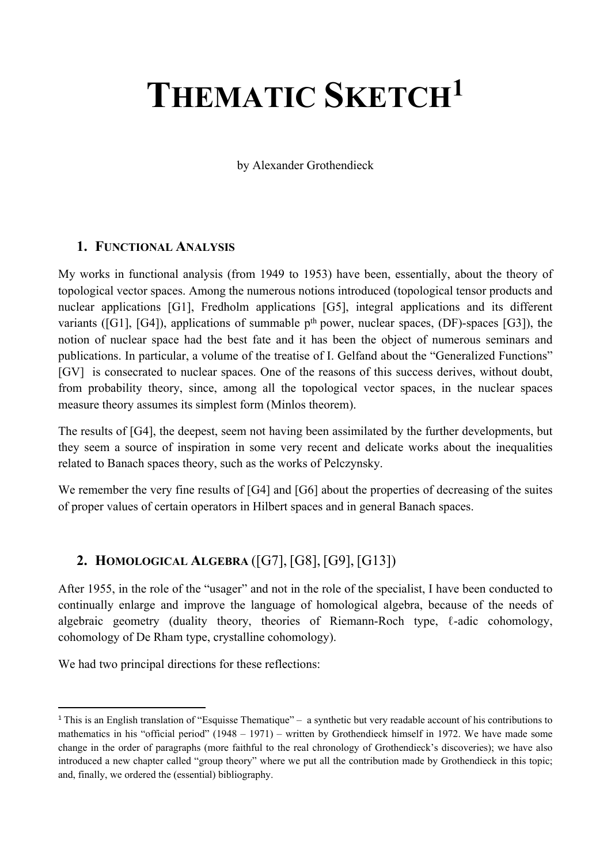# **THEMATIC SKETCH<sup>1</sup>**

by Alexander Grothendieck

#### **1. FUNCTIONAL ANALYSIS**

My works in functional analysis (from 1949 to 1953) have been, essentially, about the theory of topological vector spaces. Among the numerous notions introduced (topological tensor products and nuclear applications [G1], Fredholm applications [G5], integral applications and its different variants ([G1], [G4]), applications of summable  $p<sup>th</sup>$  power, nuclear spaces, (DF)-spaces [G3]), the notion of nuclear space had the best fate and it has been the object of numerous seminars and publications. In particular, a volume of the treatise of I. Gelfand about the "Generalized Functions" [GV] is consecrated to nuclear spaces. One of the reasons of this success derives, without doubt, from probability theory, since, among all the topological vector spaces, in the nuclear spaces measure theory assumes its simplest form (Minlos theorem).

The results of [G4], the deepest, seem not having been assimilated by the further developments, but they seem a source of inspiration in some very recent and delicate works about the inequalities related to Banach spaces theory, such as the works of Pelczynsky.

We remember the very fine results of [G4] and [G6] about the properties of decreasing of the suites of proper values of certain operators in Hilbert spaces and in general Banach spaces.

### **2. HOMOLOGICAL ALGEBRA** ([G7], [G8], [G9], [G13])

After 1955, in the role of the "usager" and not in the role of the specialist, I have been conducted to continually enlarge and improve the language of homological algebra, because of the needs of algebraic geometry (duality theory, theories of Riemann-Roch type, ℓ-adic cohomology, cohomology of De Rham type, crystalline cohomology).

We had two principal directions for these reflections:

<sup>1</sup> This is an English translation of "Esquisse Thematique" – a synthetic but very readable account of his contributions to mathematics in his "official period" (1948 – 1971) – written by Grothendieck himself in 1972. We have made some change in the order of paragraphs (more faithful to the real chronology of Grothendieck's discoveries); we have also introduced a new chapter called "group theory" where we put all the contribution made by Grothendieck in this topic; and, finally, we ordered the (essential) bibliography.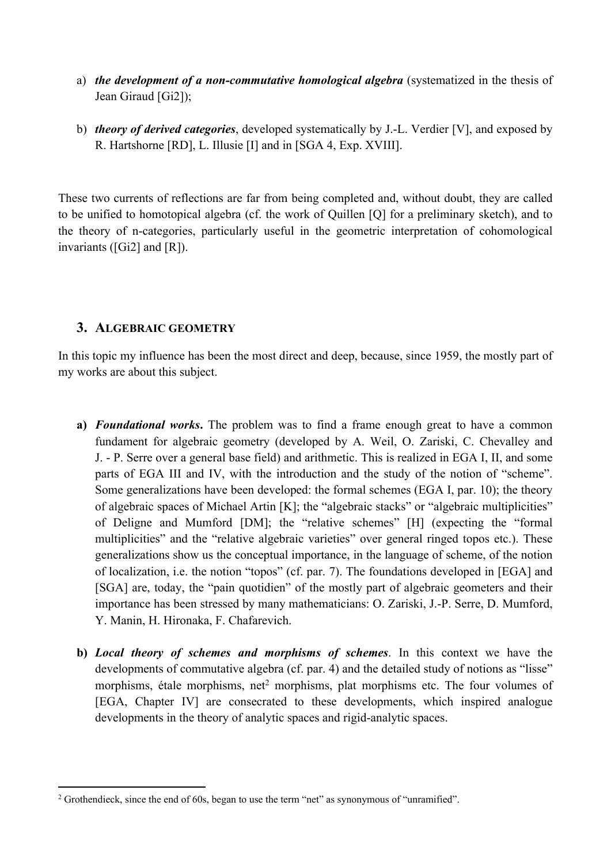- a) *the development of a non-commutative homological algebra* (systematized in the thesis of Jean Giraud [Gi2]);
- b) *theory of derived categories*, developed systematically by J.-L. Verdier [V], and exposed by R. Hartshorne [RD], L. Illusie [I] and in [SGA 4, Exp. XVIII].

These two currents of reflections are far from being completed and, without doubt, they are called to be unified to homotopical algebra (cf. the work of Quillen [Q] for a preliminary sketch), and to the theory of n-categories, particularly useful in the geometric interpretation of cohomological invariants ([Gi2] and [R]).

#### **3. ALGEBRAIC GEOMETRY**

In this topic my influence has been the most direct and deep, because, since 1959, the mostly part of my works are about this subject.

- **a)** *Foundational works***.** The problem was to find a frame enough great to have a common fundament for algebraic geometry (developed by A. Weil, O. Zariski, C. Chevalley and J. - P. Serre over a general base field) and arithmetic. This is realized in EGA I, II, and some parts of EGA III and IV, with the introduction and the study of the notion of "scheme". Some generalizations have been developed: the formal schemes (EGA I, par. 10); the theory of algebraic spaces of Michael Artin [K]; the "algebraic stacks" or "algebraic multiplicities" of Deligne and Mumford [DM]; the "relative schemes" [H] (expecting the "formal multiplicities" and the "relative algebraic varieties" over general ringed topos etc.). These generalizations show us the conceptual importance, in the language of scheme, of the notion of localization, i.e. the notion "topos" (cf. par. 7). The foundations developed in [EGA] and [SGA] are, today, the "pain quotidien" of the mostly part of algebraic geometers and their importance has been stressed by many mathematicians: O. Zariski, J.-P. Serre, D. Mumford, Y. Manin, H. Hironaka, F. Chafarevich.
- **b)** *Local theory of schemes and morphisms of schemes*. In this context we have the developments of commutative algebra (cf. par. 4) and the detailed study of notions as "lisse" morphisms, étale morphisms, net<sup>2</sup> morphisms, plat morphisms etc. The four volumes of [EGA, Chapter IV] are consecrated to these developments, which inspired analogue developments in the theory of analytic spaces and rigid-analytic spaces.

<sup>&</sup>lt;sup>2</sup> Grothendieck, since the end of 60s, began to use the term "net" as synonymous of "unramified".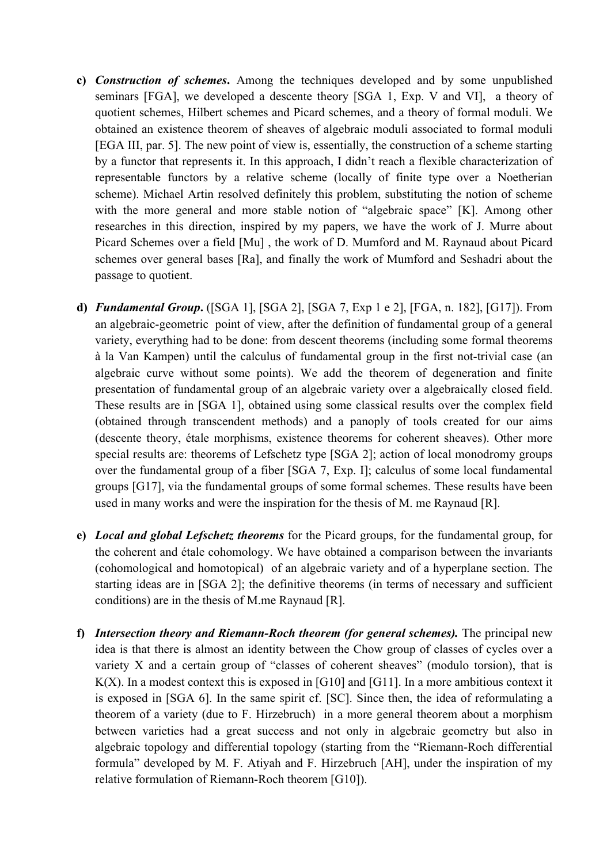- **c)** *Construction of schemes***.** Among the techniques developed and by some unpublished seminars [FGA], we developed a descente theory [SGA 1, Exp. V and VI], a theory of quotient schemes, Hilbert schemes and Picard schemes, and a theory of formal moduli. We obtained an existence theorem of sheaves of algebraic moduli associated to formal moduli [EGA III, par. 5]. The new point of view is, essentially, the construction of a scheme starting by a functor that represents it. In this approach, I didn't reach a flexible characterization of representable functors by a relative scheme (locally of finite type over a Noetherian scheme). Michael Artin resolved definitely this problem, substituting the notion of scheme with the more general and more stable notion of "algebraic space" [K]. Among other researches in this direction, inspired by my papers, we have the work of J. Murre about Picard Schemes over a field [Mu] , the work of D. Mumford and M. Raynaud about Picard schemes over general bases [Ra], and finally the work of Mumford and Seshadri about the passage to quotient.
- **d)** *Fundamental Group***.** ([SGA 1], [SGA 2], [SGA 7, Exp 1 e 2], [FGA, n. 182], [G17]). From an algebraic-geometric point of view, after the definition of fundamental group of a general variety, everything had to be done: from descent theorems (including some formal theorems à la Van Kampen) until the calculus of fundamental group in the first not-trivial case (an algebraic curve without some points). We add the theorem of degeneration and finite presentation of fundamental group of an algebraic variety over a algebraically closed field. These results are in [SGA 1], obtained using some classical results over the complex field (obtained through transcendent methods) and a panoply of tools created for our aims (descente theory, étale morphisms, existence theorems for coherent sheaves). Other more special results are: theorems of Lefschetz type [SGA 2]; action of local monodromy groups over the fundamental group of a fiber [SGA 7, Exp. I]; calculus of some local fundamental groups [G17], via the fundamental groups of some formal schemes. These results have been used in many works and were the inspiration for the thesis of M. me Raynaud [R].
- **e)** *Local and global Lefschetz theorems* for the Picard groups, for the fundamental group, for the coherent and étale cohomology. We have obtained a comparison between the invariants (cohomological and homotopical) of an algebraic variety and of a hyperplane section. The starting ideas are in [SGA 2]; the definitive theorems (in terms of necessary and sufficient conditions) are in the thesis of M.me Raynaud [R].
- **f)** *Intersection theory and Riemann-Roch theorem (for general schemes).* The principal new idea is that there is almost an identity between the Chow group of classes of cycles over a variety X and a certain group of "classes of coherent sheaves" (modulo torsion), that is  $K(X)$ . In a modest context this is exposed in [G10] and [G11]. In a more ambitious context it is exposed in [SGA 6]. In the same spirit cf. [SC]. Since then, the idea of reformulating a theorem of a variety (due to F. Hirzebruch) in a more general theorem about a morphism between varieties had a great success and not only in algebraic geometry but also in algebraic topology and differential topology (starting from the "Riemann-Roch differential formula" developed by M. F. Atiyah and F. Hirzebruch [AH], under the inspiration of my relative formulation of Riemann-Roch theorem [G10]).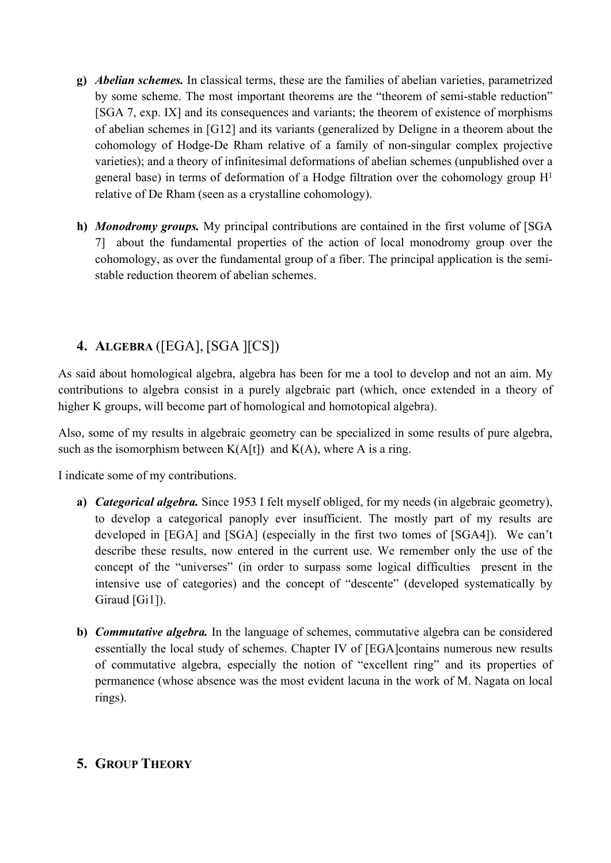- **g)** *Abelian schemes.* In classical terms, these are the families of abelian varieties, parametrized by some scheme. The most important theorems are the "theorem of semi-stable reduction" [SGA 7, exp. IX] and its consequences and variants; the theorem of existence of morphisms of abelian schemes in [G12] and its variants (generalized by Deligne in a theorem about the cohomology of Hodge-De Rham relative of a family of non-singular complex projective varieties); and a theory of infinitesimal deformations of abelian schemes (unpublished over a general base) in terms of deformation of a Hodge filtration over the cohomology group  $H<sup>1</sup>$ relative of De Rham (seen as a crystalline cohomology).
- **h)** *Monodromy groups.* My principal contributions are contained in the first volume of [SGA 7] about the fundamental properties of the action of local monodromy group over the cohomology, as over the fundamental group of a fiber. The principal application is the semistable reduction theorem of abelian schemes.

## **4. ALGEBRA** ([EGA], [SGA ][CS])

As said about homological algebra, algebra has been for me a tool to develop and not an aim. My contributions to algebra consist in a purely algebraic part (which, once extended in a theory of higher K groups, will become part of homological and homotopical algebra).

Also, some of my results in algebraic geometry can be specialized in some results of pure algebra, such as the isomorphism between  $K(A[t])$  and  $K(A)$ , where A is a ring.

I indicate some of my contributions.

- **a)** *Categorical algebra.* Since 1953 I felt myself obliged, for my needs (in algebraic geometry), to develop a categorical panoply ever insufficient. The mostly part of my results are developed in [EGA] and [SGA] (especially in the first two tomes of [SGA4]). We can't describe these results, now entered in the current use. We remember only the use of the concept of the "universes" (in order to surpass some logical difficulties present in the intensive use of categories) and the concept of "descente" (developed systematically by Giraud [Gi1]).
- **b)** *Commutative algebra.* In the language of schemes, commutative algebra can be considered essentially the local study of schemes. Chapter IV of [EGA]contains numerous new results of commutative algebra, especially the notion of "excellent ring" and its properties of permanence (whose absence was the most evident lacuna in the work of M. Nagata on local rings).

#### **5. GROUP THEORY**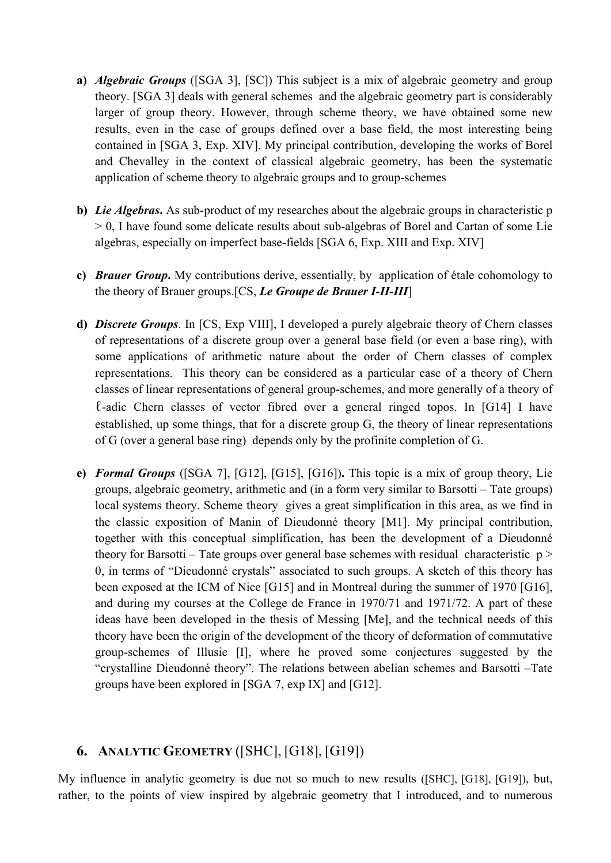- **a)** *Algebraic Groups* ([SGA 3], [SC]) This subject is a mix of algebraic geometry and group theory. [SGA 3] deals with general schemes and the algebraic geometry part is considerably larger of group theory. However, through scheme theory, we have obtained some new results, even in the case of groups defined over a base field, the most interesting being contained in [SGA 3, Exp. XIV]. My principal contribution, developing the works of Borel and Chevalley in the context of classical algebraic geometry, has been the systematic application of scheme theory to algebraic groups and to group-schemes
- **b)** *Lie Algebras***.** As sub-product of my researches about the algebraic groups in characteristic p > 0, I have found some delicate results about sub-algebras of Borel and Cartan of some Lie algebras, especially on imperfect base-fields [SGA 6, Exp. XIII and Exp. XIV]
- **c)** *Brauer Group***.** My contributions derive, essentially, by application of étale cohomology to the theory of Brauer groups.[CS, *Le Groupe de Brauer I-II-III*]
- **d)** *Discrete Groups*. In [CS, Exp VIII], I developed a purely algebraic theory of Chern classes of representations of a discrete group over a general base field (or even a base ring), with some applications of arithmetic nature about the order of Chern classes of complex representations. This theory can be considered as a particular case of a theory of Chern classes of linear representations of general group-schemes, and more generally of a theory of ℓ-adic Chern classes of vector fibred over a general ringed topos. In [G14] I have established, up some things, that for a discrete group G, the theory of linear representations of G (over a general base ring) depends only by the profinite completion of G.
- **e)** *Formal Groups* ([SGA 7], [G12], [G15], [G16])**.** This topic is a mix of group theory, Lie groups, algebraic geometry, arithmetic and (in a form very similar to Barsotti – Tate groups) local systems theory. Scheme theory gives a great simplification in this area, as we find in the classic exposition of Manin of Dieudonné theory [M1]. My principal contribution, together with this conceptual simplification, has been the development of a Dieudonné theory for Barsotti – Tate groups over general base schemes with residual characteristic  $p$ 0, in terms of "Dieudonné crystals" associated to such groups. A sketch of this theory has been exposed at the ICM of Nice [G15] and in Montreal during the summer of 1970 [G16], and during my courses at the College de France in 1970/71 and 1971/72. A part of these ideas have been developed in the thesis of Messing [Me], and the technical needs of this theory have been the origin of the development of the theory of deformation of commutative group-schemes of Illusie [I], where he proved some conjectures suggested by the "crystalline Dieudonné theory". The relations between abelian schemes and Barsotti –Tate groups have been explored in [SGA 7, exp IX] and [G12].

#### **6. ANALYTIC GEOMETRY** ([SHC], [G18], [G19])

My influence in analytic geometry is due not so much to new results ([SHC], [G18], [G19]), but, rather, to the points of view inspired by algebraic geometry that I introduced, and to numerous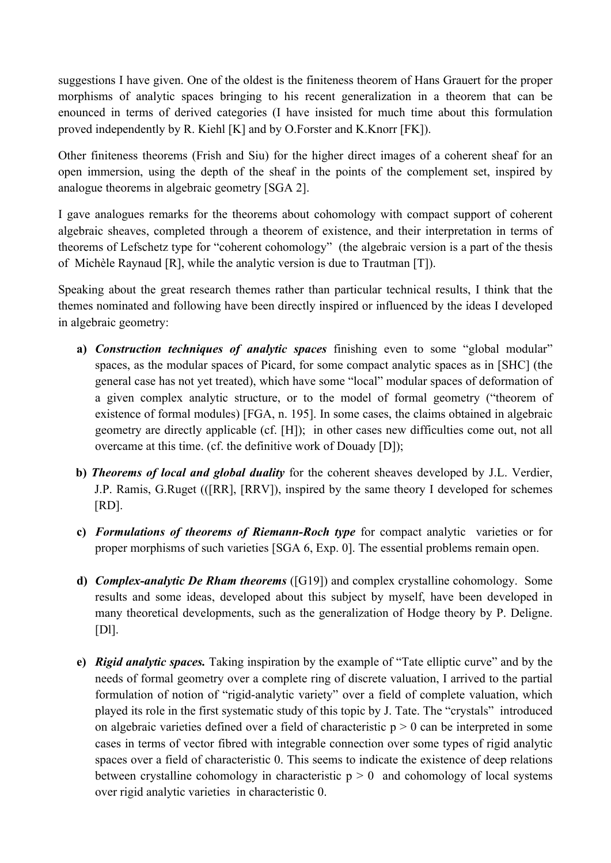suggestions I have given. One of the oldest is the finiteness theorem of Hans Grauert for the proper morphisms of analytic spaces bringing to his recent generalization in a theorem that can be enounced in terms of derived categories (I have insisted for much time about this formulation proved independently by R. Kiehl [K] and by O.Forster and K.Knorr [FK]).

Other finiteness theorems (Frish and Siu) for the higher direct images of a coherent sheaf for an open immersion, using the depth of the sheaf in the points of the complement set, inspired by analogue theorems in algebraic geometry [SGA 2].

I gave analogues remarks for the theorems about cohomology with compact support of coherent algebraic sheaves, completed through a theorem of existence, and their interpretation in terms of theorems of Lefschetz type for "coherent cohomology" (the algebraic version is a part of the thesis of Michèle Raynaud [R], while the analytic version is due to Trautman [T]).

Speaking about the great research themes rather than particular technical results, I think that the themes nominated and following have been directly inspired or influenced by the ideas I developed in algebraic geometry:

- **a)** *Construction techniques of analytic spaces* finishing even to some "global modular" spaces, as the modular spaces of Picard, for some compact analytic spaces as in [SHC] (the general case has not yet treated), which have some "local" modular spaces of deformation of a given complex analytic structure, or to the model of formal geometry ("theorem of existence of formal modules) [FGA, n. 195]. In some cases, the claims obtained in algebraic geometry are directly applicable (cf. [H]); in other cases new difficulties come out, not all overcame at this time. (cf. the definitive work of Douady [D]);
- **b)** *Theorems of local and global duality* for the coherent sheaves developed by J.L. Verdier, J.P. Ramis, G.Ruget (([RR], [RRV]), inspired by the same theory I developed for schemes  $[RD]$ .
- **c)** *Formulations of theorems of Riemann-Roch type* for compact analytic varieties or for proper morphisms of such varieties [SGA 6, Exp. 0]. The essential problems remain open.
- **d)** *Complex-analytic De Rham theorems* ([G19]) and complex crystalline cohomology. Some results and some ideas, developed about this subject by myself, have been developed in many theoretical developments, such as the generalization of Hodge theory by P. Deligne. [D]].
- **e)** *Rigid analytic spaces.* Taking inspiration by the example of "Tate elliptic curve" and by the needs of formal geometry over a complete ring of discrete valuation, I arrived to the partial formulation of notion of "rigid-analytic variety" over a field of complete valuation, which played its role in the first systematic study of this topic by J. Tate. The "crystals" introduced on algebraic varieties defined over a field of characteristic  $p > 0$  can be interpreted in some cases in terms of vector fibred with integrable connection over some types of rigid analytic spaces over a field of characteristic 0. This seems to indicate the existence of deep relations between crystalline cohomology in characteristic  $p > 0$  and cohomology of local systems over rigid analytic varieties in characteristic 0.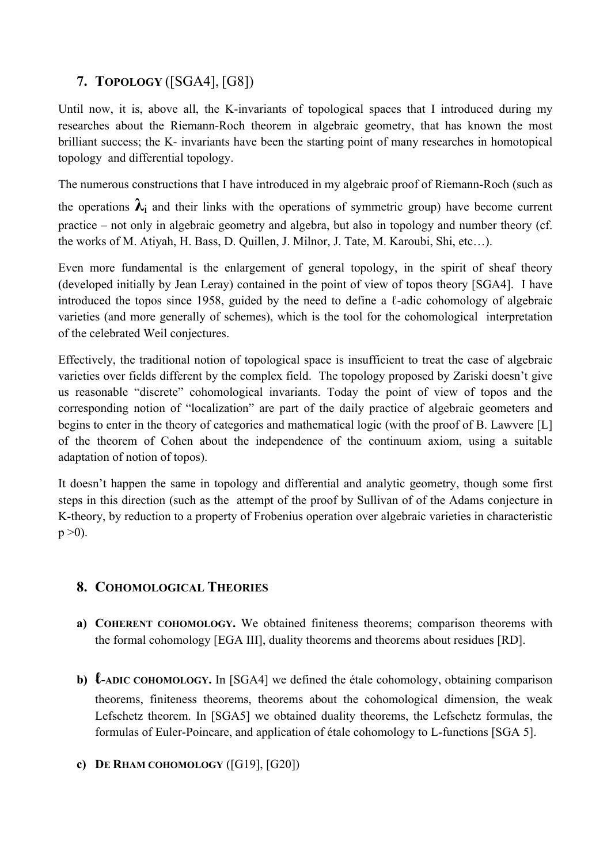## **7. TOPOLOGY** ([SGA4], [G8])

Until now, it is, above all, the K-invariants of topological spaces that I introduced during my researches about the Riemann-Roch theorem in algebraic geometry, that has known the most brilliant success; the K- invariants have been the starting point of many researches in homotopical topology and differential topology.

The numerous constructions that I have introduced in my algebraic proof of Riemann-Roch (such as

the operations  $\lambda_i$  and their links with the operations of symmetric group) have become current practice – not only in algebraic geometry and algebra, but also in topology and number theory (cf. the works of M. Atiyah, H. Bass, D. Quillen, J. Milnor, J. Tate, M. Karoubi, Shi, etc…).

Even more fundamental is the enlargement of general topology, in the spirit of sheaf theory (developed initially by Jean Leray) contained in the point of view of topos theory [SGA4]. I have introduced the topos since 1958, guided by the need to define a  $\ell$ -adic cohomology of algebraic varieties (and more generally of schemes), which is the tool for the cohomological interpretation of the celebrated Weil conjectures.

Effectively, the traditional notion of topological space is insufficient to treat the case of algebraic varieties over fields different by the complex field. The topology proposed by Zariski doesn't give us reasonable "discrete" cohomological invariants. Today the point of view of topos and the corresponding notion of "localization" are part of the daily practice of algebraic geometers and begins to enter in the theory of categories and mathematical logic (with the proof of B. Lawvere [L] of the theorem of Cohen about the independence of the continuum axiom, using a suitable adaptation of notion of topos).

It doesn't happen the same in topology and differential and analytic geometry, though some first steps in this direction (such as the attempt of the proof by Sullivan of of the Adams conjecture in K-theory, by reduction to a property of Frobenius operation over algebraic varieties in characteristic  $p > 0$ ).

#### **8. COHOMOLOGICAL THEORIES**

- **a) COHERENT COHOMOLOGY.** We obtained finiteness theorems; comparison theorems with the formal cohomology [EGA III], duality theorems and theorems about residues [RD].
- **b) ℓ-ADIC COHOMOLOGY.** In [SGA4] we defined the étale cohomology, obtaining comparison theorems, finiteness theorems, theorems about the cohomological dimension, the weak Lefschetz theorem. In [SGA5] we obtained duality theorems, the Lefschetz formulas, the formulas of Euler-Poincare, and application of étale cohomology to L-functions [SGA 5].
- **c) DE RHAM COHOMOLOGY** ([G19], [G20])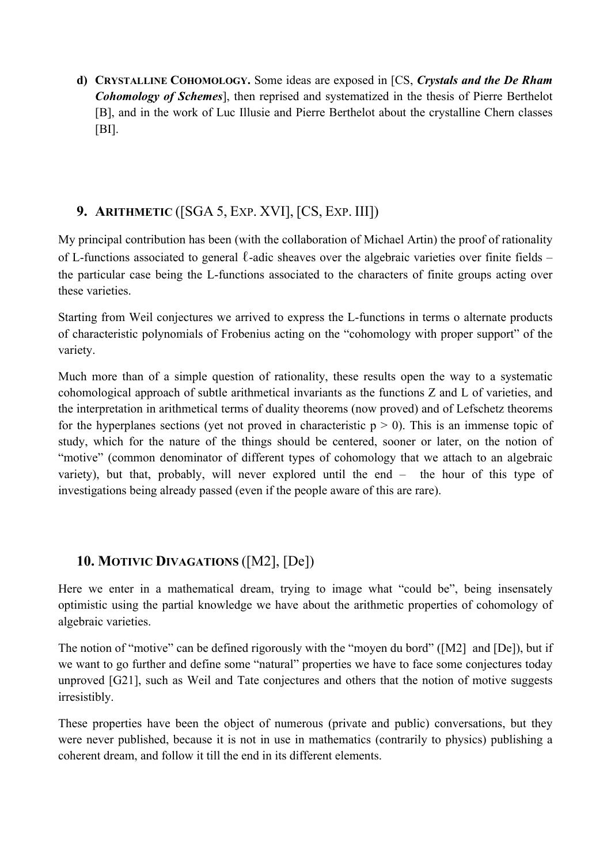**d) CRYSTALLINE COHOMOLOGY.** Some ideas are exposed in [CS, *Crystals and the De Rham Cohomology of Schemes*], then reprised and systematized in the thesis of Pierre Berthelot [B], and in the work of Luc Illusie and Pierre Berthelot about the crystalline Chern classes [BI].

#### **9. ARITHMETIC** ([SGA 5, EXP. XVI], [CS, EXP. III])

My principal contribution has been (with the collaboration of Michael Artin) the proof of rationality of L-functions associated to general  $\ell$ -adic sheaves over the algebraic varieties over finite fields – the particular case being the L-functions associated to the characters of finite groups acting over these varieties.

Starting from Weil conjectures we arrived to express the L-functions in terms o alternate products of characteristic polynomials of Frobenius acting on the "cohomology with proper support" of the variety.

Much more than of a simple question of rationality, these results open the way to a systematic cohomological approach of subtle arithmetical invariants as the functions Z and L of varieties, and the interpretation in arithmetical terms of duality theorems (now proved) and of Lefschetz theorems for the hyperplanes sections (yet not proved in characteristic  $p > 0$ ). This is an immense topic of study, which for the nature of the things should be centered, sooner or later, on the notion of "motive" (common denominator of different types of cohomology that we attach to an algebraic variety), but that, probably, will never explored until the end – the hour of this type of investigations being already passed (even if the people aware of this are rare).

### **10. MOTIVIC DIVAGATIONS** ([M2], [De])

Here we enter in a mathematical dream, trying to image what "could be", being insensately optimistic using the partial knowledge we have about the arithmetic properties of cohomology of algebraic varieties.

The notion of "motive" can be defined rigorously with the "moyen du bord" ([M2] and [De]), but if we want to go further and define some "natural" properties we have to face some conjectures today unproved [G21], such as Weil and Tate conjectures and others that the notion of motive suggests irresistibly.

These properties have been the object of numerous (private and public) conversations, but they were never published, because it is not in use in mathematics (contrarily to physics) publishing a coherent dream, and follow it till the end in its different elements.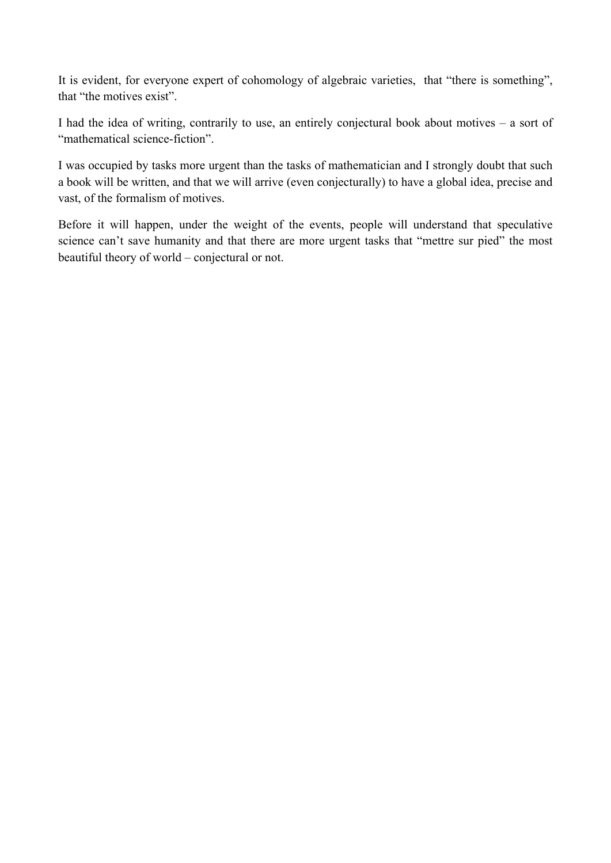It is evident, for everyone expert of cohomology of algebraic varieties, that "there is something", that "the motives exist".

I had the idea of writing, contrarily to use, an entirely conjectural book about motives – a sort of "mathematical science-fiction".

I was occupied by tasks more urgent than the tasks of mathematician and I strongly doubt that such a book will be written, and that we will arrive (even conjecturally) to have a global idea, precise and vast, of the formalism of motives.

Before it will happen, under the weight of the events, people will understand that speculative science can't save humanity and that there are more urgent tasks that "mettre sur pied" the most beautiful theory of world – conjectural or not.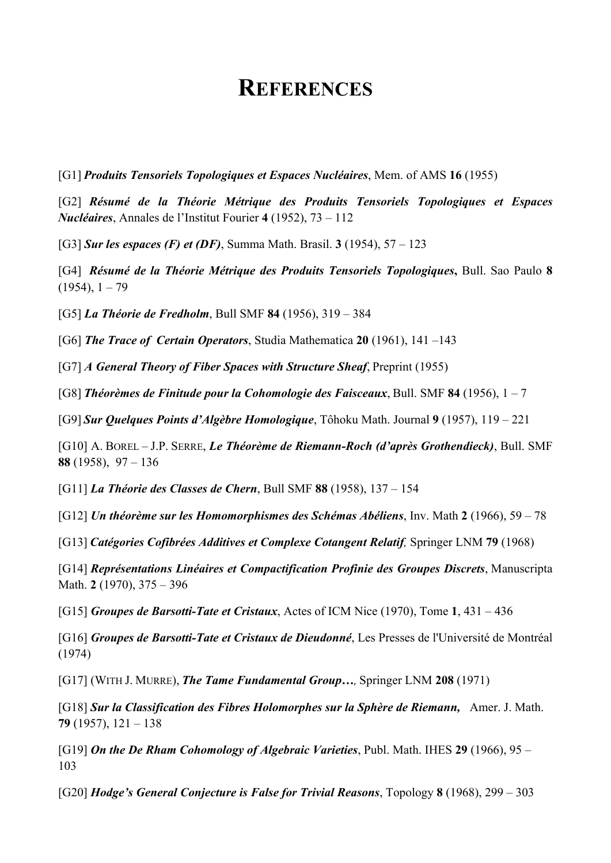# **REFERENCES**

[G1] *Produits Tensoriels Topologiques et Espaces Nucléaires*, Mem. of AMS **16** (1955)

[G2] *Résumé de la Théorie Métrique des Produits Tensoriels Topologiques et Espaces Nucléaires*, Annales de l'Institut Fourier **4** (1952), 73 – 112

[G3] *Sur les espaces (F) et (DF)*, Summa Math. Brasil. **3** (1954), 57 – 123

[G4] *Résumé de la Théorie Métrique des Produits Tensoriels Topologiques***,** Bull. Sao Paulo **8**  $(1954), 1 - 79$ 

[G5] *La Théorie de Fredholm*, Bull SMF **84** (1956), 319 – 384

[G6] *The Trace of Certain Operators*, Studia Mathematica **20** (1961), 141 –143

[G7] *A General Theory of Fiber Spaces with Structure Sheaf*, Preprint (1955)

[G8] *Théorèmes de Finitude pour la Cohomologie des Faisceaux*, Bull. SMF **84** (1956), 1 – 7

[G9] *Sur Quelques Points d'Algèbre Homologique*, Tôhoku Math. Journal **9** (1957), 119 – 221

[G10] A. BOREL – J.P. SERRE, *Le Théorème de Riemann-Roch (d'après Grothendieck)*, Bull. SMF **88** (1958), 97 – 136

[G11] *La Théorie des Classes de Chern*, Bull SMF **88** (1958), 137 – 154

[G12] *Un théorème sur les Homomorphismes des Schémas Abéliens*, Inv. Math **2** (1966), 59 – 78

[G13] *Catégories Cofibrées Additives et Complexe Cotangent Relatif,* Springer LNM **79** (1968)

[G14] *Représentations Linéaires et Compactification Profinie des Groupes Discrets*, Manuscripta Math. **2** (1970), 375 – 396

[G15] *Groupes de Barsotti-Tate et Cristaux*, Actes of ICM Nice (1970), Tome **1**, 431 – 436

[G16] *Groupes de Barsotti-Tate et Cristaux de Dieudonné*, Les Presses de l'Université de Montréal (1974)

[G17] (WITH J. MURRE), *The Tame Fundamental Group…,* Springer LNM **208** (1971)

[G18] *Sur la Classification des Fibres Holomorphes sur la Sphère de Riemann,* Amer. J. Math. **79** (1957), 121 – 138

[G19] *On the De Rham Cohomology of Algebraic Varieties*, Publ. Math. IHES **29** (1966), 95 – 103

[G20] *Hodge's General Conjecture is False for Trivial Reasons*, Topology **8** (1968), 299 – 303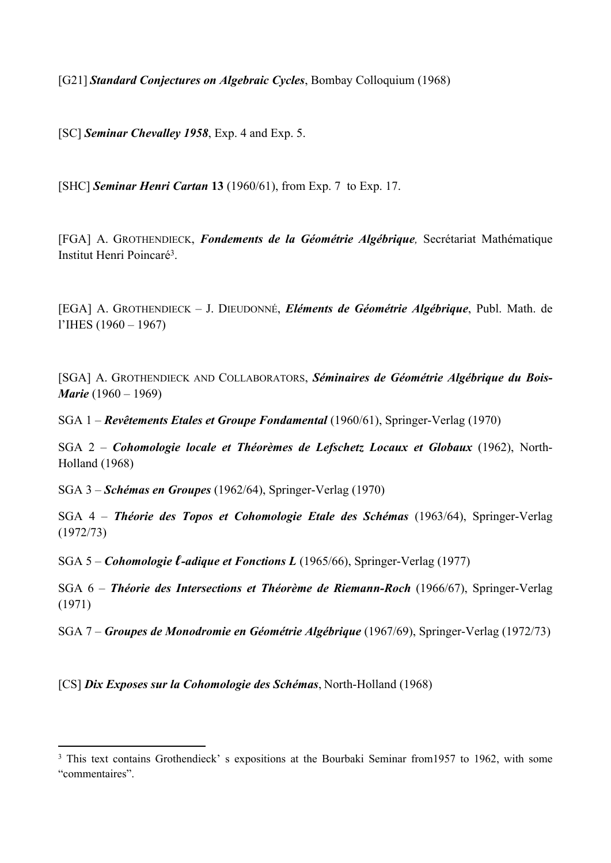[G21] *Standard Conjectures on Algebraic Cycles*, Bombay Colloquium (1968)

[SC] *Seminar Chevalley 1958*, Exp. 4 and Exp. 5.

[SHC] *Seminar Henri Cartan* **13** (1960/61), from Exp. 7 to Exp. 17.

[FGA] A. GROTHENDIECK, *Fondements de la Géométrie Algébrique,* Secrétariat Mathématique Institut Henri Poincaré<sup>3</sup>.

[EGA] A. GROTHENDIECK – J. DIEUDONNÉ, *Eléments de Géométrie Algébrique*, Publ. Math. de l'IHES (1960 – 1967)

[SGA] A. GROTHENDIECK AND COLLABORATORS, *Séminaires de Géométrie Algébrique du Bois-Marie* (1960 – 1969)

SGA 1 – *Revêtements Etales et Groupe Fondamental* (1960/61), Springer-Verlag (1970)

SGA 2 – *Cohomologie locale et Théorèmes de Lefschetz Locaux et Globaux* (1962), North-Holland (1968)

SGA 3 – *Schémas en Groupes* (1962/64), Springer-Verlag (1970)

SGA 4 – *Théorie des Topos et Cohomologie Etale des Schémas* (1963/64), Springer-Verlag (1972/73)

SGA 5 – *Cohomologie ℓ-adique et Fonctions L* (1965/66), Springer-Verlag (1977)

SGA 6 – *Théorie des Intersections et Théorème de Riemann-Roch* (1966/67), Springer-Verlag (1971)

SGA 7 – *Groupes de Monodromie en Géométrie Algébrique* (1967/69), Springer-Verlag (1972/73)

[CS] *Dix Exposes sur la Cohomologie des Schémas*, North-Holland (1968)

<sup>&</sup>lt;sup>3</sup> This text contains Grothendieck' s expositions at the Bourbaki Seminar from 1957 to 1962, with some "commentaires".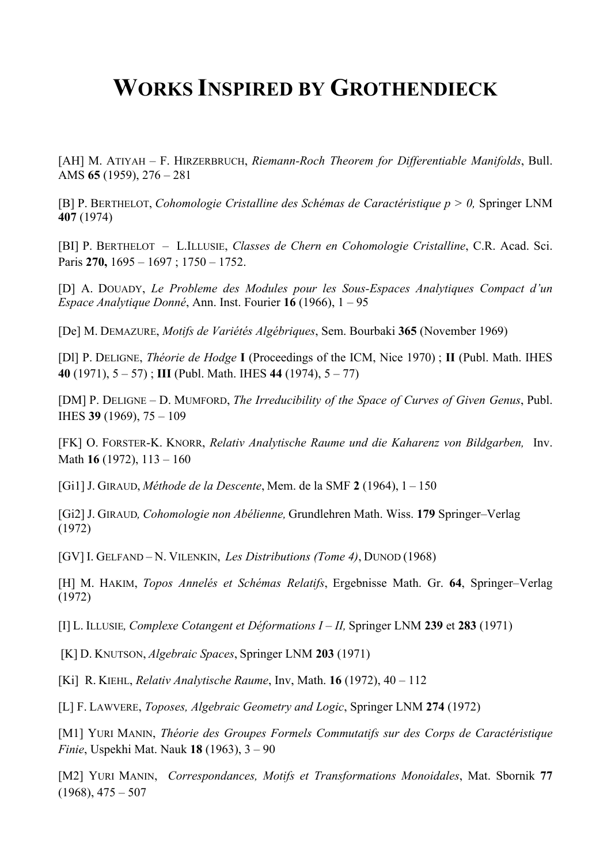# **WORKS INSPIRED BY GROTHENDIECK**

[AH] M. ATIYAH – F. HIRZERBRUCH, *Riemann-Roch Theorem for Differentiable Manifolds*, Bull. AMS **65** (1959), 276 – 281

[B] P. BERTHELOT, *Cohomologie Cristalline des Schémas de Caractéristique p > 0,* Springer LNM **407** (1974)

[BI] P. BERTHELOT – L.ILLUSIE, *Classes de Chern en Cohomologie Cristalline*, C.R. Acad. Sci. Paris **270,** 1695 – 1697 ; 1750 – 1752.

[D] A. DOUADY, *Le Probleme des Modules pour les Sous-Espaces Analytiques Compact d'un Espace Analytique Donné*, Ann. Inst. Fourier **16** (1966), 1 – 95

[De] M. DEMAZURE, *Motifs de Variétés Algébriques*, Sem. Bourbaki **365** (November 1969)

[Dl] P. DELIGNE, *Théorie de Hodge* **I** (Proceedings of the ICM, Nice 1970) ; **II** (Publ. Math. IHES **40** (1971), 5 – 57) ; **III** (Publ. Math. IHES **44** (1974), 5 – 77)

[DM] P. DELIGNE – D. MUMFORD, *The Irreducibility of the Space of Curves of Given Genus*, Publ. IHES **39** (1969), 75 – 109

[FK] O. FORSTER-K. KNORR, *Relativ Analytische Raume und die Kaharenz von Bildgarben,* Inv. Math **16** (1972), 113 – 160

[Gi1] J. GIRAUD, *Méthode de la Descente*, Mem. de la SMF **2** (1964), 1 – 150

[Gi2] J. GIRAUD*, Cohomologie non Abélienne,* Grundlehren Math. Wiss. **179** Springer–Verlag (1972)

[GV] I. GELFAND – N. VILENKIN, *Les Distributions (Tome 4)*, DUNOD (1968)

[H] M. HAKIM, *Topos Annelés et Schémas Relatifs*, Ergebnisse Math. Gr. **64**, Springer–Verlag (1972)

[I] L. ILLUSIE*, Complexe Cotangent et Déformations I – II,* Springer LNM **239** et **283** (1971)

[K] D. KNUTSON, *Algebraic Spaces*, Springer LNM **203** (1971)

[Ki] R. KIEHL, *Relativ Analytische Raume*, Inv, Math. **16** (1972), 40 – 112

[L] F. LAWVERE, *Toposes, Algebraic Geometry and Logic*, Springer LNM **274** (1972)

[M1] YURI MANIN, *Théorie des Groupes Formels Commutatifs sur des Corps de Caractéristique Finie*, Uspekhi Mat. Nauk **18** (1963), 3 – 90

[M2] YURI MANIN, *Correspondances, Motifs et Transformations Monoidales*, Mat. Sbornik **77**   $(1968), 475 - 507$